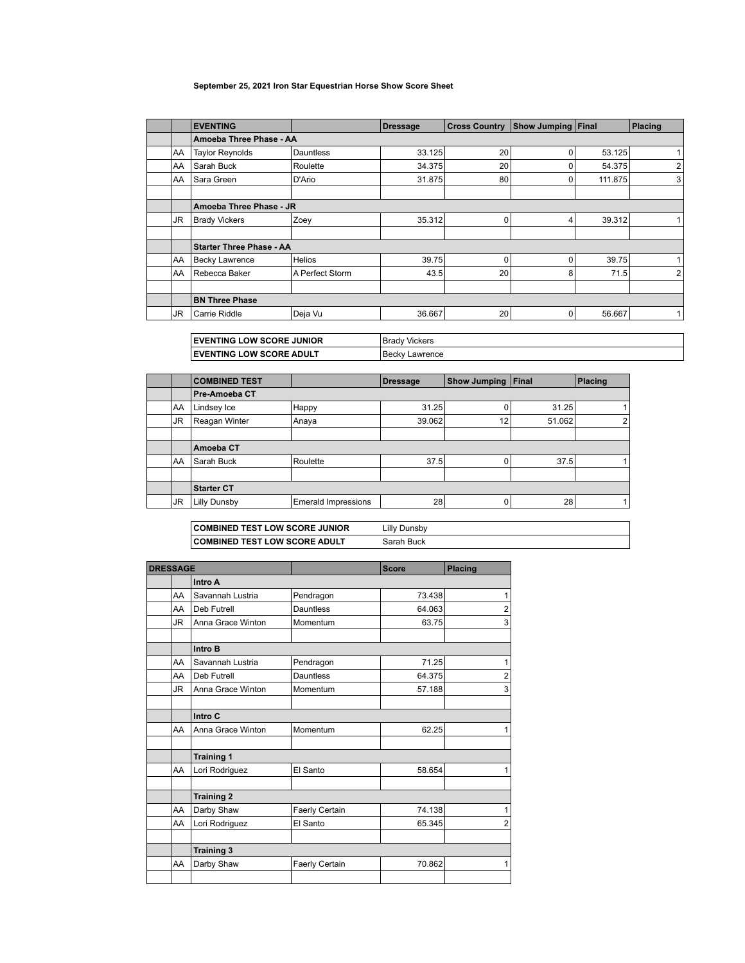## **September 25, 2021 Iron Star Equestrian Horse Show Score Sheet**

|     | <b>EVENTING</b>                 |                  | <b>Dressage</b> | <b>Cross Country</b> | <b>Show Jumping Final</b> |         | Placing |  |
|-----|---------------------------------|------------------|-----------------|----------------------|---------------------------|---------|---------|--|
|     | Amoeba Three Phase - AA         |                  |                 |                      |                           |         |         |  |
| AA  | <b>Taylor Reynolds</b>          | <b>Dauntless</b> | 33.125          | 20                   | 0                         | 53.125  |         |  |
| AA  | Sarah Buck                      | Roulette         | 34.375          | 20                   | 0                         | 54.375  | 2       |  |
| AA  | Sara Green                      | D'Ario           | 31.875          | 80                   | 0                         | 111.875 | 3       |  |
|     |                                 |                  |                 |                      |                           |         |         |  |
|     | Amoeba Three Phase - JR         |                  |                 |                      |                           |         |         |  |
| JR. | <b>Brady Vickers</b>            | Zoey             | 35.312          | 0                    | 4                         | 39.312  |         |  |
|     |                                 |                  |                 |                      |                           |         |         |  |
|     | <b>Starter Three Phase - AA</b> |                  |                 |                      |                           |         |         |  |
| AA  | <b>Becky Lawrence</b>           | <b>Helios</b>    | 39.75           | 0                    | 0                         | 39.75   | 1       |  |
| AA  | Rebecca Baker                   | A Perfect Storm  | 43.5            | 20                   | 8                         | 71.5    | 2       |  |
|     |                                 |                  |                 |                      |                           |         |         |  |
|     | <b>BN Three Phase</b>           |                  |                 |                      |                           |         |         |  |
| JR. | Carrie Riddle                   | Deja Vu          | 36.667          | 20                   | 0                         | 56.667  | 1       |  |

| <b>EVENTING LOW SCORE JUNIOR</b> | Brady<br><b>Vickers</b> |
|----------------------------------|-------------------------|
| <b>EVENTING LOW SCORE ADULT</b>  | Becky<br>Lawrence       |

|                     |                            | <b>Dressage</b> | <b>Show Jumping Final</b> |                               | Placing               |
|---------------------|----------------------------|-----------------|---------------------------|-------------------------------|-----------------------|
| ∣Pre-Amoeba CT      |                            |                 |                           |                               |                       |
| Lindsey Ice         | Happy                      |                 |                           |                               |                       |
| Reagan Winter       | Anaya                      |                 | 12                        |                               | 2                     |
|                     |                            |                 |                           |                               |                       |
| Amoeba CT           |                            |                 |                           |                               |                       |
| Sarah Buck          | Roulette                   |                 |                           | 37.5                          |                       |
|                     |                            |                 |                           |                               |                       |
| <b>Starter CT</b>   |                            |                 |                           |                               |                       |
| <b>Lilly Dunsby</b> | <b>Emerald Impressions</b> |                 |                           |                               |                       |
|                     |                            |                 |                           | 31.25<br>39.062<br>37.5<br>28 | 31.25<br>51.062<br>28 |

| <b>COMBINED TEST LOW SCORE JUNIOR</b> | Lilly Dunsby |
|---------------------------------------|--------------|
| <b>COMBINED TEST LOW SCORE ADULT</b>  | Sarah Buck   |

| <b>DRESSAGE</b> |                        |                   |                  | <b>Score</b> | <b>Placing</b>          |  |  |  |
|-----------------|------------------------|-------------------|------------------|--------------|-------------------------|--|--|--|
|                 |                        | Intro A           |                  |              |                         |  |  |  |
|                 | AA<br>Savannah Lustria |                   | Pendragon        | 73.438       | 1                       |  |  |  |
|                 | AA                     | Deb Futrell       | <b>Dauntless</b> | 64.063       | $\overline{\mathbf{c}}$ |  |  |  |
|                 | JR                     | Anna Grace Winton | Momentum         | 63.75        | 3                       |  |  |  |
|                 |                        | Intro B           |                  |              |                         |  |  |  |
|                 | AA                     | Savannah Lustria  | Pendragon        | 71.25        | 1                       |  |  |  |
|                 | AA                     | Deb Futrell       | <b>Dauntless</b> | 64.375       | $\overline{2}$          |  |  |  |
|                 | JR                     | Anna Grace Winton | Momentum         | 57.188       | 3                       |  |  |  |
|                 |                        | Intro C           |                  |              |                         |  |  |  |
|                 |                        |                   |                  |              |                         |  |  |  |
|                 | AA                     | Anna Grace Winton | Momentum         | 62.25        | 1                       |  |  |  |
|                 |                        | <b>Training 1</b> |                  |              |                         |  |  |  |
|                 | AA                     | Lori Rodriguez    | El Santo         | 58.654       | 1                       |  |  |  |
|                 |                        |                   |                  |              |                         |  |  |  |
|                 |                        | <b>Training 2</b> |                  |              |                         |  |  |  |
|                 | AA                     | Darby Shaw        | Faerly Certain   | 74.138       | 1                       |  |  |  |
|                 | AA                     | Lori Rodriguez    | El Santo         | 65.345       | $\overline{2}$          |  |  |  |
|                 |                        |                   |                  |              |                         |  |  |  |
|                 |                        | <b>Training 3</b> |                  |              |                         |  |  |  |
|                 | AA                     | Darby Shaw        | Faerly Certain   | 70.862       | 1                       |  |  |  |
|                 |                        |                   |                  |              |                         |  |  |  |